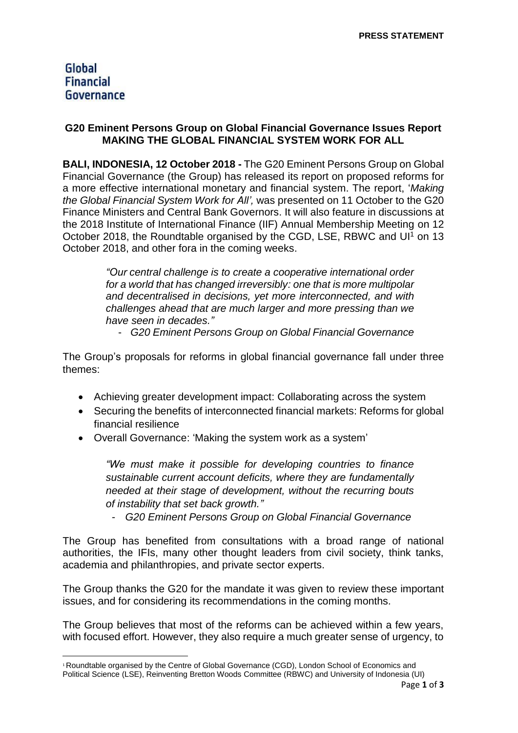## Global **Financial** Governance

 $\overline{a}$ 

## **G20 Eminent Persons Group on Global Financial Governance Issues Report MAKING THE GLOBAL FINANCIAL SYSTEM WORK FOR ALL**

**BALI, INDONESIA, 12 October 2018 -** The G20 Eminent Persons Group on Global Financial Governance (the Group) has released its report on proposed reforms for a more effective international monetary and financial system. The report, '*Making the Global Financial System Work for All',* was presented on 11 October to the G20 Finance Ministers and Central Bank Governors. It will also feature in discussions at the 2018 Institute of International Finance (IIF) Annual Membership Meeting on 12 October 2018, the Roundtable organised by the CGD, LSE, RBWC and UI<sup>1</sup> on 13 October 2018, and other fora in the coming weeks.

> *"Our central challenge is to create a cooperative international order for a world that has changed irreversibly: one that is more multipolar and decentralised in decisions, yet more interconnected, and with challenges ahead that are much larger and more pressing than we have seen in decades."*

- *G20 Eminent Persons Group on Global Financial Governance*

The Group's proposals for reforms in global financial governance fall under three themes:

- Achieving greater development impact: Collaborating across the system
- Securing the benefits of interconnected financial markets: Reforms for global financial resilience
- Overall Governance: 'Making the system work as a system'

*"We must make it possible for developing countries to finance sustainable current account deficits, where they are fundamentally needed at their stage of development, without the recurring bouts of instability that set back growth."*

- *G20 Eminent Persons Group on Global Financial Governance*

The Group has benefited from consultations with a broad range of national authorities, the IFIs, many other thought leaders from civil society, think tanks, academia and philanthropies, and private sector experts.

The Group thanks the G20 for the mandate it was given to review these important issues, and for considering its recommendations in the coming months.

The Group believes that most of the reforms can be achieved within a few years, with focused effort. However, they also require a much greater sense of urgency, to

<sup>1</sup> Roundtable organised by the Centre of Global Governance (CGD), London School of Economics and Political Science (LSE), Reinventing Bretton Woods Committee (RBWC) and University of Indonesia (UI)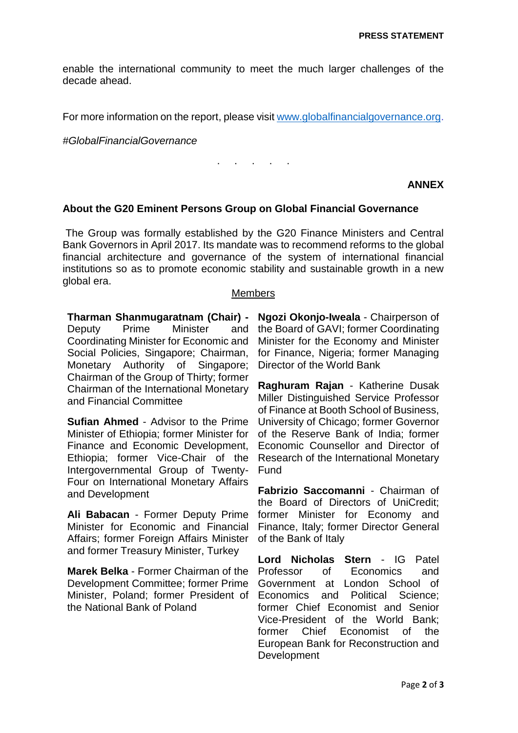enable the international community to meet the much larger challenges of the decade ahead.

For more information on the report, please visit [www.globalfinancialgovernance.org.](http://www.globalfinancialgovernance.org/)

*#GlobalFinancialGovernance*

. . . . .

**ANNEX**

## **About the G20 Eminent Persons Group on Global Financial Governance**

The Group was formally established by the G20 Finance Ministers and Central Bank Governors in April 2017. Its mandate was to recommend reforms to the global financial architecture and governance of the system of international financial institutions so as to promote economic stability and sustainable growth in a new global era.

## Members

**Tharman Shanmugaratnam (Chair) -** Deputy Prime Minister and Coordinating Minister for Economic and Social Policies, Singapore; Chairman, Monetary Authority of Singapore; Chairman of the Group of Thirty; former Chairman of the International Monetary and Financial Committee

**Sufian Ahmed** - Advisor to the Prime Minister of Ethiopia; former Minister for Finance and Economic Development, Ethiopia; former Vice-Chair of the Intergovernmental Group of Twenty-Four on International Monetary Affairs and Development

**Ali Babacan** - Former Deputy Prime Minister for Economic and Financial Affairs; former Foreign Affairs Minister and former Treasury Minister, Turkey

**Marek Belka** - Former Chairman of the Development Committee; former Prime Minister, Poland; former President of the National Bank of Poland

**Ngozi Okonjo-Iweala** - Chairperson of the Board of GAVI; former Coordinating Minister for the Economy and Minister for Finance, Nigeria; former Managing Director of the World Bank

**Raghuram Rajan** - Katherine Dusak Miller Distinguished Service Professor of Finance at Booth School of Business, University of Chicago; former Governor of the Reserve Bank of India; former Economic Counsellor and Director of Research of the International Monetary **Fund** 

**Fabrizio Saccomanni** - Chairman of the Board of Directors of UniCredit; former Minister for Economy and Finance, Italy; former Director General of the Bank of Italy

**Lord Nicholas Stern** - IG Patel Professor of Economics and Government at London School of Economics and Political Science; former Chief Economist and Senior Vice-President of the World Bank; former Chief Economist of the European Bank for Reconstruction and **Development**